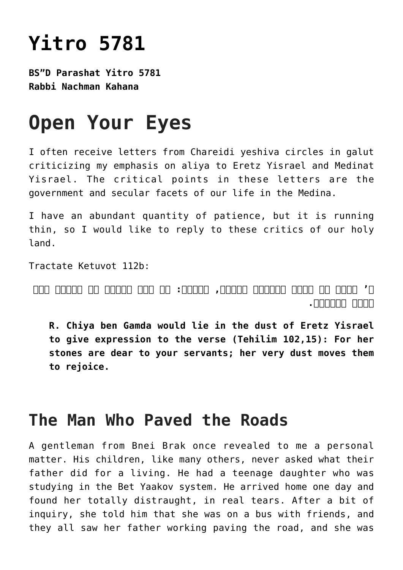# **[Yitro 5781](https://nachmankahana.com/yitro-5781/)**

**BS"D Parashat Yitro 5781 Rabbi Nachman Kahana**

# **Open Your Eyes**

I often receive letters from Chareidi yeshiva circles in galut criticizing my emphasis on aliya to Eretz Yisrael and Medinat Yisrael. The critical points in these letters are the government and secular facets of our life in the Medina.

I have an abundant quantity of patience, but it is running thin, so I would like to reply to these critics of our holy land.

Tractate Ketuvot 112b:

**ר' חייא בר גמדא מיגנדר בעפרה, שנאמר: כי רצו עבדיך את אבניה ואת עפרה יחוננו.**

**R. Chiya ben Gamda would lie in the dust of Eretz Yisrael to give expression to the verse (Tehilim 102,15): For her stones are dear to your servants; her very dust moves them to rejoice.**

#### **The Man Who Paved the Roads**

A gentleman from Bnei Brak once revealed to me a personal matter. His children, like many others, never asked what their father did for a living. He had a teenage daughter who was studying in the Bet Yaakov system. He arrived home one day and found her totally distraught, in real tears. After a bit of inquiry, she told him that she was on a bus with friends, and they all saw her father working paving the road, and she was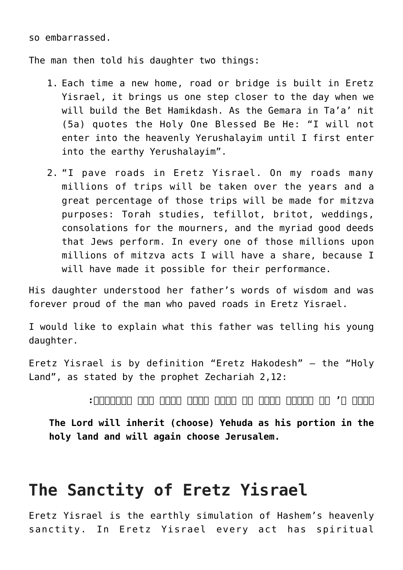so embarrassed.

The man then told his daughter two things:

- 1. Each time a new home, road or bridge is built in Eretz Yisrael, it brings us one step closer to the day when we will build the Bet Hamikdash. As the Gemara in Ta'a' nit (5a) quotes the Holy One Blessed Be He: "I will not enter into the heavenly Yerushalayim until I first enter into the earthy Yerushalayim".
- 2. "I pave roads in Eretz Yisrael. On my roads many millions of trips will be taken over the years and a great percentage of those trips will be made for mitzva purposes: Torah studies, tefillot, britot, weddings, consolations for the mourners, and the myriad good deeds that Jews perform. In every one of those millions upon millions of mitzva acts I will have a share, because I will have made it possible for their performance.

His daughter understood her father's words of wisdom and was forever proud of the man who paved roads in Eretz Yisrael.

I would like to explain what this father was telling his young daughter.

Eretz Yisrael is by definition "Eretz Hakodesh" – the "Holy Land", as stated by the prophet Zechariah 2,12:

**ונחל ה' את יהודה חלקו על אדמת הקדש ובחר עוד בירושלם:**

**The Lord will inherit (choose) Yehuda as his portion in the holy land and will again choose Jerusalem.**

## **The Sanctity of Eretz Yisrael**

Eretz Yisrael is the earthly simulation of Hashem's heavenly sanctity. In Eretz Yisrael every act has spiritual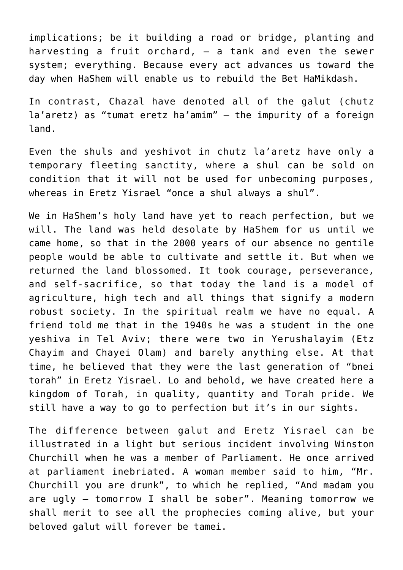implications; be it building a road or bridge, planting and harvesting a fruit orchard,  $-$  a tank and even the sewer system; everything. Because every act advances us toward the day when HaShem will enable us to rebuild the Bet HaMikdash.

In contrast, Chazal have denoted all of the galut (chutz la'aretz) as "tumat eretz ha'amim" – the impurity of a foreign land.

Even the shuls and yeshivot in chutz la'aretz have only a temporary fleeting sanctity, where a shul can be sold on condition that it will not be used for unbecoming purposes, whereas in Eretz Yisrael "once a shul always a shul".

We in HaShem's holy land have yet to reach perfection, but we will. The land was held desolate by HaShem for us until we came home, so that in the 2000 years of our absence no gentile people would be able to cultivate and settle it. But when we returned the land blossomed. It took courage, perseverance, and self-sacrifice, so that today the land is a model of agriculture, high tech and all things that signify a modern robust society. In the spiritual realm we have no equal. A friend told me that in the 1940s he was a student in the one yeshiva in Tel Aviv; there were two in Yerushalayim (Etz Chayim and Chayei Olam) and barely anything else. At that time, he believed that they were the last generation of "bnei torah" in Eretz Yisrael. Lo and behold, we have created here a kingdom of Torah, in quality, quantity and Torah pride. We still have a way to go to perfection but it's in our sights.

The difference between galut and Eretz Yisrael can be illustrated in a light but serious incident involving Winston Churchill when he was a member of Parliament. He once arrived at parliament inebriated. A woman member said to him, "Mr. Churchill you are drunk", to which he replied, "And madam you are ugly – tomorrow I shall be sober". Meaning tomorrow we shall merit to see all the prophecies coming alive, but your beloved galut will forever be tamei.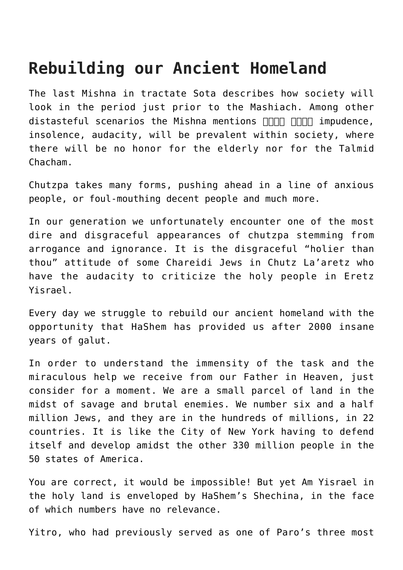## **Rebuilding our Ancient Homeland**

The last Mishna in tractate Sota describes how society will look in the period just prior to the Mashiach. Among other distasteful scenarios the Mishna mentions  $\Box \Box \Box \Box \Box$  impudence, insolence, audacity, will be prevalent within society, where there will be no honor for the elderly nor for the Talmid Chacham.

Chutzpa takes many forms, pushing ahead in a line of anxious people, or foul-mouthing decent people and much more.

In our generation we unfortunately encounter one of the most dire and disgraceful appearances of chutzpa stemming from arrogance and ignorance. It is the disgraceful "holier than thou" attitude of some Chareidi Jews in Chutz La'aretz who have the audacity to criticize the holy people in Eretz Yisrael.

Every day we struggle to rebuild our ancient homeland with the opportunity that HaShem has provided us after 2000 insane years of galut.

In order to understand the immensity of the task and the miraculous help we receive from our Father in Heaven, just consider for a moment. We are a small parcel of land in the midst of savage and brutal enemies. We number six and a half million Jews, and they are in the hundreds of millions, in 22 countries. It is like the City of New York having to defend itself and develop amidst the other 330 million people in the 50 states of America.

You are correct, it would be impossible! But yet Am Yisrael in the holy land is enveloped by HaShem's Shechina, in the face of which numbers have no relevance.

Yitro, who had previously served as one of Paro's three most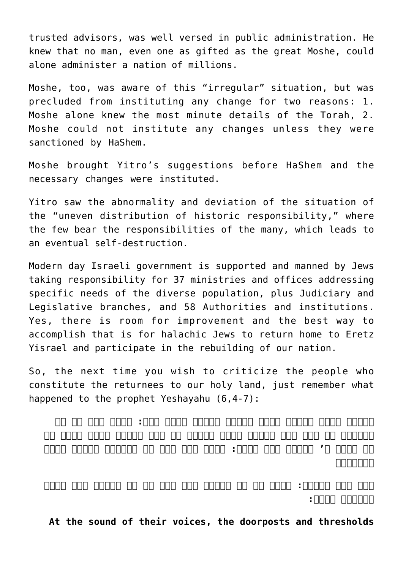trusted advisors, was well versed in public administration. He knew that no man, even one as gifted as the great Moshe, could alone administer a nation of millions.

Moshe, too, was aware of this "irregular" situation, but was precluded from instituting any change for two reasons: 1. Moshe alone knew the most minute details of the Torah, 2. Moshe could not institute any changes unless they were sanctioned by HaShem.

Moshe brought Yitro's suggestions before HaShem and the necessary changes were instituted.

Yitro saw the abnormality and deviation of the situation of the "uneven distribution of historic responsibility," where the few bear the responsibilities of the many, which leads to an eventual self-destruction.

Modern day [Israeli government](https://www.gov.il/he/departments) is supported and manned by Jews taking responsibility for 37 ministries and offices addressing specific needs of the diverse population, plus Judiciary and Legislative branches, and 58 Authorities and institutions. Yes, there is room for improvement and the best way to accomplish that is for halachic Jews to return home to Eretz Yisrael and participate in the rebuilding of our nation.

So, the next time you wish to criticize the people who constitute the returnees to our holy land, just remember what happened to the prophet Yeshayahu (6,4-7):

**וינעו אמות הספים מקול הקורא והבית ימלא עשן: ואמר אוי לי כי נדמיתי כי איש טמא שפתים אנכי ובתוך עם טמא שפתים אנכי יושב כי את המלך ה' צבאות ראו עיני: ויעף אלי אחד מן השרפים ובידו רצפה במלקחים**

**לקח מעל המזבח: ויגע על פי ויאמר הנה נגע זה על שפתיך וסר עונך וחטאתך תכפר:**

**At the sound of their voices, the doorposts and thresholds**